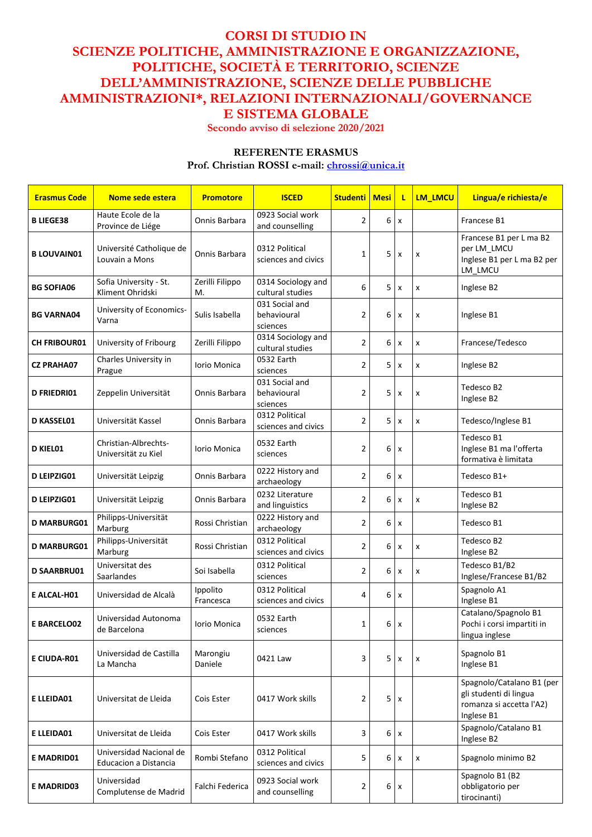## **CORSI DI STUDIO IN SCIENZE POLITICHE, AMMINISTRAZIONE E ORGANIZZAZIONE, POLITICHE, SOCIETÀ E TERRITORIO, SCIENZE DELL'AMMINISTRAZIONE, SCIENZE DELLE PUBBLICHE AMMINISTRAZIONI\*, RELAZIONI INTERNAZIONALI/GOVERNANCE E SISTEMA GLOBALE**

**Secondo avviso di selezione 2020/2021**

## **REFERENTE ERASMUS**

**Prof. Christian ROSSI e-mail: [chrossi@unica.it](mailto:chrossi@unica.it)**

| <b>Erasmus Code</b> | Nome sede estera                                        | <b>Promotore</b>      | <b>ISCED</b>                              | <b>Studenti</b> | <b>Mesi</b> | L                  | LM_LMCU            | Lingua/e richiesta/e                                                                          |
|---------------------|---------------------------------------------------------|-----------------------|-------------------------------------------|-----------------|-------------|--------------------|--------------------|-----------------------------------------------------------------------------------------------|
| <b>B LIEGE38</b>    | Haute Ecole de la<br>Province de Liége                  | Onnis Barbara         | 0923 Social work<br>and counselling       | $\overline{2}$  | 6           | $\pmb{\chi}$       |                    | Francese B1                                                                                   |
| <b>B LOUVAIN01</b>  | Université Catholique de<br>Louvain a Mons              | Onnis Barbara         | 0312 Political<br>sciences and civics     | 1               | 5           | $\pmb{\times}$     | X                  | Francese B1 per L ma B2<br>per LM_LMCU<br>Inglese B1 per L ma B2 per<br>LM LMCU               |
| <b>BG SOFIA06</b>   | Sofia University - St.<br>Kliment Ohridski              | Zerilli Filippo<br>Μ. | 0314 Sociology and<br>cultural studies    | 6               | 5           | $\mathsf{x}$       | $\mathsf{x}$       | Inglese B2                                                                                    |
| <b>BG VARNA04</b>   | University of Economics-<br>Varna                       | Sulis Isabella        | 031 Social and<br>behavioural<br>sciences | $\overline{2}$  | 6           | $\pmb{\times}$     | X                  | Inglese B1                                                                                    |
| <b>CH FRIBOUR01</b> | University of Fribourg                                  | Zerilli Filippo       | 0314 Sociology and<br>cultural studies    | $\overline{2}$  | 6           | $\pmb{\times}$     | x                  | Francese/Tedesco                                                                              |
| <b>CZ PRAHA07</b>   | Charles University in<br>Prague                         | Iorio Monica          | 0532 Earth<br>sciences                    | $\overline{2}$  | 5           | X                  | X                  | Inglese B2                                                                                    |
| <b>D FRIEDRIO1</b>  | Zeppelin Universität                                    | Onnis Barbara         | 031 Social and<br>behavioural<br>sciences | $\overline{2}$  | 5           | X                  | X                  | Tedesco B2<br>Inglese B2                                                                      |
| D KASSEL01          | Universität Kassel                                      | Onnis Barbara         | 0312 Political<br>sciences and civics     | 2               | 5           | X                  | X                  | Tedesco/Inglese B1                                                                            |
| <b>D KIEL01</b>     | Christian-Albrechts-<br>Universität zu Kiel             | Iorio Monica          | 0532 Earth<br>sciences                    | $\overline{2}$  | 6           | X                  |                    | Tedesco B1<br>Inglese B1 ma l'offerta<br>formativa è limitata                                 |
| D LEIPZIG01         | Universität Leipzig                                     | Onnis Barbara         | 0222 History and<br>archaeology           | $\overline{2}$  | 6           | $\pmb{\chi}$       |                    | Tedesco B1+                                                                                   |
| D LEIPZIG01         | Universität Leipzig                                     | Onnis Barbara         | 0232 Literature<br>and linguistics        | $\overline{2}$  | 6           | X                  | X                  | Tedesco B1<br>Inglese B2                                                                      |
| <b>D MARBURG01</b>  | Philipps-Universität<br>Marburg                         | Rossi Christian       | 0222 History and<br>archaeology           | $\overline{2}$  | 6           | X                  |                    | Tedesco B1                                                                                    |
| <b>D MARBURG01</b>  | Philipps-Universität<br>Marburg                         | Rossi Christian       | 0312 Political<br>sciences and civics     | $\overline{2}$  | 6           | X                  | X                  | Tedesco B2<br>Inglese B2                                                                      |
| <b>D SAARBRU01</b>  | Universitat des<br>Saarlandes                           | Soi Isabella          | 0312 Political<br>sciences                | $\overline{2}$  | 6           | X                  | X                  | Tedesco B1/B2<br>Inglese/Francese B1/B2                                                       |
| E ALCAL-H01         | Universidad de Alcalà                                   | Ippolito<br>Francesca | 0312 Political<br>sciences and civics     | 4               | 6           | X                  |                    | Spagnolo A1<br>Inglese B1                                                                     |
| <b>E BARCELO02</b>  | Universidad Autonoma<br>de Barcelona                    | Iorio Monica          | 0532 Earth<br>sciences                    | 1               | 6           | $\pmb{\times}$     |                    | Catalano/Spagnolo B1<br>Pochi i corsi impartiti in<br>lingua inglese                          |
| E CIUDA-R01         | Universidad de Castilla<br>La Mancha                    | Marongiu<br>Daniele   | 0421 Law                                  | 3               | 5           | $\pmb{\times}$     | X                  | Spagnolo B1<br>Inglese B1                                                                     |
| E LLEIDA01          | Universitat de Lleida                                   | Cois Ester            | 0417 Work skills                          | $\overline{2}$  | 5           | $\pmb{\mathsf{x}}$ |                    | Spagnolo/Catalano B1 (per<br>gli studenti di lingua<br>romanza si accetta l'A2)<br>Inglese B1 |
| E LLEIDA01          | Universitat de Lleida                                   | Cois Ester            | 0417 Work skills                          | 3               | 6           | X                  |                    | Spagnolo/Catalano B1<br>Inglese B2                                                            |
| E MADRID01          | Universidad Nacional de<br><b>Educacion a Distancia</b> | Rombi Stefano         | 0312 Political<br>sciences and civics     | 5               | 6           | X                  | $\pmb{\mathsf{x}}$ | Spagnolo minimo B2                                                                            |
| E MADRID03          | Universidad<br>Complutense de Madrid                    | Falchi Federica       | 0923 Social work<br>and counselling       | 2               | 6           | $\pmb{\mathsf{x}}$ |                    | Spagnolo B1 (B2<br>obbligatorio per<br>tirocinanti)                                           |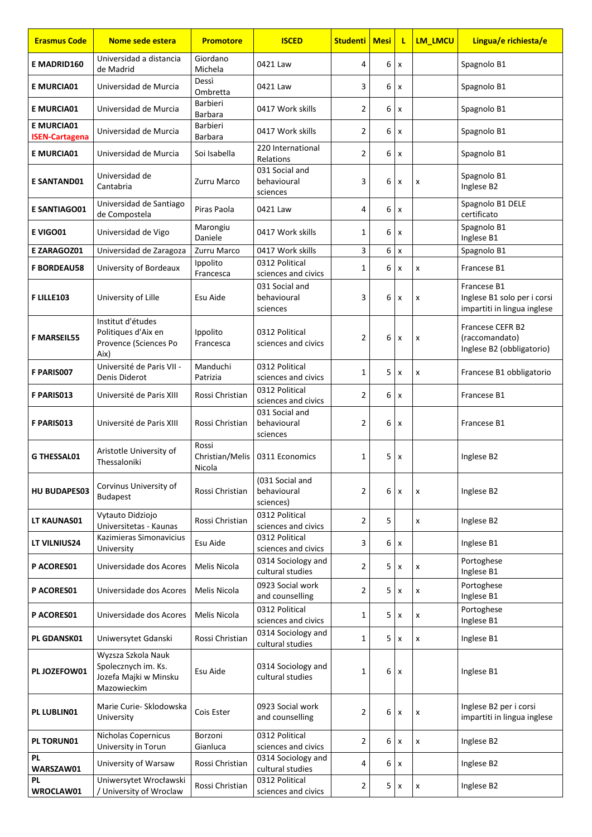| <b>Erasmus Code</b>                        | Nome sede estera                                                                  | <b>Promotore</b>                   | <b>ISCED</b>                                | <b>Studenti   Mesi</b> |   | τ              | <b>LM LMCU</b> | Lingua/e richiesta/e                                                      |
|--------------------------------------------|-----------------------------------------------------------------------------------|------------------------------------|---------------------------------------------|------------------------|---|----------------|----------------|---------------------------------------------------------------------------|
| E MADRID160                                | Universidad a distancia<br>de Madrid                                              | Giordano<br>Michela                | 0421 Law                                    | 4                      | 6 | x              |                | Spagnolo B1                                                               |
| <b>E MURCIA01</b>                          | Universidad de Murcia                                                             | Dessì<br>Ombretta                  | 0421 Law                                    | 3                      | 6 | x              |                | Spagnolo B1                                                               |
| <b>E MURCIA01</b>                          | Universidad de Murcia                                                             | Barbieri<br><b>Barbara</b>         | 0417 Work skills                            | 2                      | 6 | x              |                | Spagnolo B1                                                               |
| <b>E MURCIA01</b><br><b>ISEN-Cartagena</b> | Universidad de Murcia                                                             | <b>Barbieri</b><br><b>Barbara</b>  | 0417 Work skills                            | 2                      | 6 | x              |                | Spagnolo B1                                                               |
| <b>E MURCIA01</b>                          | Universidad de Murcia                                                             | Soi Isabella                       | 220 International<br><b>Relations</b>       | $\overline{2}$         | 6 | x              |                | Spagnolo B1                                                               |
| <b>E SANTAND01</b>                         | Universidad de<br>Cantabria                                                       | Zurru Marco                        | 031 Social and<br>behavioural<br>sciences   | 3                      | 6 | $\pmb{\times}$ | x              | Spagnolo B1<br>Inglese B2                                                 |
| <b>E SANTIAGO01</b>                        | Universidad de Santiago<br>de Compostela                                          | Piras Paola                        | 0421 Law                                    | 4                      | 6 | x              |                | Spagnolo B1 DELE<br>certificato                                           |
| E VIGO01                                   | Universidad de Vigo                                                               | Marongiu<br>Daniele                | 0417 Work skills                            | 1                      | 6 | x              |                | Spagnolo B1<br>Inglese B1                                                 |
| E ZARAGOZ01                                | Universidad de Zaragoza                                                           | Zurru Marco                        | 0417 Work skills                            | 3                      | 6 | $\pmb{\times}$ |                | Spagnolo B1                                                               |
| <b>F BORDEAU58</b>                         | University of Bordeaux                                                            | Ippolito<br>Francesca              | 0312 Political<br>sciences and civics       | 1                      | 6 | x              | x              | Francese B1                                                               |
| <b>FLILLE103</b>                           | University of Lille                                                               | Esu Aide                           | 031 Social and<br>behavioural<br>sciences   | 3                      | 6 | x              | x              | Francese B1<br>Inglese B1 solo per i corsi<br>impartiti in lingua inglese |
| <b>F MARSEIL55</b>                         | Institut d'études<br>Politiques d'Aix en<br>Provence (Sciences Po<br>Aix)         | Ippolito<br>Francesca              | 0312 Political<br>sciences and civics       | 2                      | 6 | x              | x              | Francese CEFR B2<br>(raccomandato)<br>Inglese B2 (obbligatorio)           |
| F PARIS007                                 | Université de Paris VII -<br>Denis Diderot                                        | Manduchi<br>Patrizia               | 0312 Political<br>sciences and civics       | $\mathbf{1}$           | 5 | $\pmb{\times}$ | x              | Francese B1 obbligatorio                                                  |
| F PARIS013                                 | Université de Paris XIII                                                          | Rossi Christian                    | 0312 Political<br>sciences and civics       | 2                      | 6 | x              |                | Francese B1                                                               |
| F PARIS013                                 | Université de Paris XIII                                                          | Rossi Christian                    | 031 Social and<br>behavioural<br>sciences   | 2                      | 6 | x              |                | Francese B1                                                               |
| <b>G THESSAL01</b>                         | Aristotle University of<br>Thessaloniki                                           | Rossi<br>Christian/Melis<br>Nicola | 0311 Economics                              | 1                      | 5 | X              |                | Inglese B2                                                                |
| <b>HU BUDAPES03</b>                        | Corvinus University of<br><b>Budapest</b>                                         | Rossi Christian                    | (031 Social and<br>behavioural<br>sciences) | $\overline{2}$         | 6 | X              | x              | Inglese B2                                                                |
| LT KAUNAS01                                | Vytauto Didziojo<br>Universitetas - Kaunas                                        | Rossi Christian                    | 0312 Political<br>sciences and civics       | 2                      | 5 |                | x              | Inglese B2                                                                |
| LT VILNIUS24                               | Kazimieras Simonavicius<br>University                                             | Esu Aide                           | 0312 Political<br>sciences and civics       | 3                      | 6 | X              |                | Inglese B1                                                                |
| <b>P ACORES01</b>                          | Universidade dos Acores                                                           | Melis Nicola                       | 0314 Sociology and<br>cultural studies      | 2                      | 5 | x              | x              | Portoghese<br>Inglese B1                                                  |
| P ACORES01                                 | Universidade dos Acores                                                           | Melis Nicola                       | 0923 Social work<br>and counselling         | 2                      | 5 | X              | x              | Portoghese<br>Inglese B1                                                  |
| P ACORES01                                 | Universidade dos Acores                                                           | Melis Nicola                       | 0312 Political<br>sciences and civics       | 1                      | 5 | X              | x              | Portoghese<br>Inglese B1                                                  |
| PL GDANSK01                                | Uniwersytet Gdanski                                                               | Rossi Christian                    | 0314 Sociology and<br>cultural studies      | $\mathbf{1}$           | 5 | X              | x              | Inglese B1                                                                |
| PL JOZEFOW01                               | Wyzsza Szkola Nauk<br>Spolecznych im. Ks.<br>Jozefa Majki w Minsku<br>Mazowieckim | Esu Aide                           | 0314 Sociology and<br>cultural studies      | 1                      | 6 | X              |                | Inglese B1                                                                |
| PL LUBLIN01                                | Marie Curie- Sklodowska<br>University                                             | Cois Ester                         | 0923 Social work<br>and counselling         | 2                      | 6 | $\pmb{\times}$ | x              | Inglese B2 per i corsi<br>impartiti in lingua inglese                     |
| PL TORUN01                                 | Nicholas Copernicus<br>University in Torun                                        | Borzoni<br>Gianluca                | 0312 Political<br>sciences and civics       | 2                      | 6 | x              | x              | Inglese B2                                                                |
| PL<br>WARSZAW01                            | University of Warsaw                                                              | Rossi Christian                    | 0314 Sociology and<br>cultural studies      | 4                      | 6 | X              |                | Inglese B2                                                                |
| <b>PL</b><br>WROCLAW01                     | Uniwersytet Wrocławski<br>/ University of Wroclaw                                 | Rossi Christian                    | 0312 Political<br>sciences and civics       | $\overline{2}$         | 5 | x              | x              | Inglese B2                                                                |